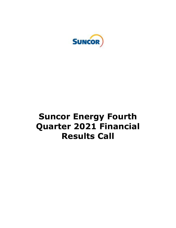

# **Suncor Energy Fourth Quarter 2021 Financial Results Call**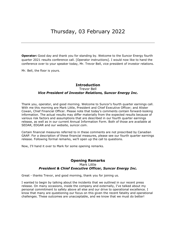**Operator:** Good day and thank you for standing by. Welcome to the Suncor Energy fourth quarter 2021 results conference call. [Operator instructions]. I would now like to hand the conference over to your speaker today, Mr. Trevor Bell, vice president of investor relations.

Mr. Bell, the floor is yours.

## **Introduction**  Trevor Bell *Vice President of Investor Relations, Suncor Energy Inc.*

Thank you, operator, and good morning. Welcome to Suncor's fourth quarter earnings call. With me this morning are Mark Little, President and Chief Executive Officer; and Alister Cowan, Chief Financial Officer. Please note that today's comments contain forward-looking information. The actual results may differ materially from the expected results because of various risk factors and assumptions that are described in our fourth quarter earnings release, as well as in our current Annual Information Form. Both of those are available at SEDAR, EDGAR and our website, suncor.com.

Certain financial measures referred to in these comments are not prescribed by Canadian GAAP. For a description of these financial measures, please see our fourth quarter earnings release. Following formal remarks, we'll open up the call to questions.

Now, I'll hand it over to Mark for some opening remarks.

#### **Opening Remarks**  Mark Little *President & Chief Executive Officer, Suncor Energy Inc.*

Great - thanks Trevor, and good morning, thank you for joining us.

I wanted to begin by talking about the incidents that we outlined in our recent press release. On many occasions, inside the company and externally, I've talked about my personal commitment to safety above all else and our drive to operational excellence. I know that many are questioning our focus on this given the recent fatality and operational challenges. These outcomes are unacceptable, and we know that we must do better!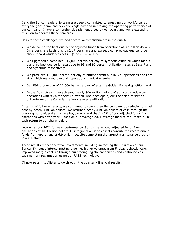I and the Suncor leadership team are deeply committed to engaging our workforce, so everyone goes home safely every single day and improving the operating performance of our company. I have a comprehensive plan endorsed by our board and we're executing this plan to address these concerns.

Despite these challenges, we had several accomplishments in the quarter:

- We delivered the best quarter of adjusted funds from operations of 3.1 billion dollars. On a per share basis this is \$2.17 per share and exceeds our previous quarterly per share record which was set in Q1 of 2014 by 11%.
- We upgraded a combined 515,000 barrels per day of synthetic crude oil which marks our third best quarterly result due to 99 and 90 percent utilization rates at Base Plant and Syncrude respectively.
- We produced 151,000 barrels per day of bitumen from our In Situ operations and Fort Hills which resumed two train operations in mid-December.
- Our E&P production of 77,000 barrels a day reflects the Golden Eagle disposition, and
- In the Downstream, we achieved nearly 800 million dollars of adjusted funds from operations with 96% refinery utilization. And once again, our Canadian refineries outperformed the Canadian refinery average utilizations.

In terms of full year results, we continued to strengthen the company by reducing our net debt by nearly 4 billion dollars. We returned nearly 4 billion dollars of cash through the doubling our dividend and share buybacks – and that's 40% of our adjusted funds from operations within the year. Based on our average 2021 average market cap, that's a 10% cash return to our shareholders.

Looking at our 2021 full year performance, Suncor generated adjusted funds from operations of 10.3 billion dollars. Our regional oil sands assets contributed record annual funds from operations of 6.9 billion, despite completing the largest maintenance program in our history.

These results reflect accretive investments including increasing the utilization of our Suncor-Syncrude interconnecting pipeline, higher volumes from Firebag debottlenecks, improved margin capture through our trading logistic capabilities and continued cash savings from reclamation using our PASS technology.

I'll now pass it to Alister to go through the quarterly financial results.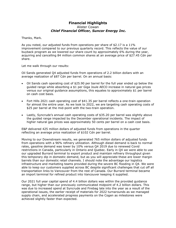## **Financial Highlights**  Alister Cowan  *Chief Financial Officer, Suncor Energy Inc.*

Thanks, Mark.

As you noted, our adjusted funds from operations per share of \$2.17 is a 11% improvement compared to our previous quarterly record. This reflects the value of our buyback program as we lowered our share count by approximately 6% during the year, acquiring and cancelling 84 million common shares at an average price of \$27.45 Cdn per share.

Let me walk through our results:

Oil Sands generated Q4 adjusted funds from operations of 2.2 billion dollars with an average realization of \$87 Cdn per barrel. On an annual basis:

- Oil Sands cash operating cost of \$25.90 per barrel for the full year ended up below the guided range while absorbing a \$1 per Giga Joule AECO increase in natural gas prices versus our original guidance assumptions, this equates to approximately \$1 per barrel on cash cost basis.
- Fort Hills 2021 cash operating cost of \$41.35 per barrel reflects a one-train operation for almost the entire year. As we look to 2022, we are targeting cash operating costs of \$25 per barrel at the mid-point with the two-train operation.
- Lastly, Syncrude's annual cash operating costs of \$35.20 per barrel was slightly above the guided range impacted by the December operational incidents. The impact of higher natural gas prices was approximately 50 cents per barrel on a cash cost basis.

E&P delivered 425 million dollars of adjusted funds from operations in the quarter reflecting an average price realization of \$102 Cdn per barrel.

Moving to our Downstream results, we generated 765 million dollars of adjusted funds from operations with a 96% refinery utilization. Although diesel demand is back to normal rates, gasoline demand was lower by 10% versus Q4 2019 due to renewed Covid restrictions in Canada, particularly in Ontario and Quebec. Early in Q4 we were able to use our upgraded Burrard terminal to export product and maintain refinery throughput given this temporary dip in domestic demand, but as you will appreciate these are lower margin barrels than our domestic retail channels. I should note the advantage our logistics infrastructure and marketing teams provided during the severe BC flooding in Q4. We were able to keep our customers supplied across BC despite significant challenges that cut off all transportation links to Vancouver from the rest of Canada. Our Burrard terminal became an import terminal for refined product into Vancouver keeping it supplied.

Our 2021 full year capital spend of 4.4 billion dollars was within the provided guidance range, but higher than our previously communicated midpoint of 4.2 billion dollars. This was due to increased spend at Syncrude and Firebag late into the year as a result of the operational issues, the earlier receipt of materials for 2022 turnarounds as we managed supply chain, and accelerated progress payments on the Cogen as milestones were achieved slightly faster than expected.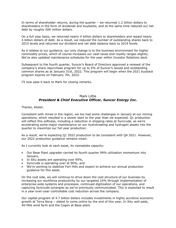In terms of shareholder returns, during the quarter – we returned 1.2 billion dollars to shareholders in the form of dividends and buybacks, and at the same time reduced our net debt by roughly 500 million dollars.

On a full year basis, we returned nearly 4 billion dollars to shareholders and repaid nearly 4 billion dollars of debt. As a result, we reduced the number of outstanding shares back to 2015 levels and returned our dividend and net debt balance back to 2019 levels.

As it relates to our guidance, our only change is to the business environment for higher commodity prices, which of course increases our cash taxes and royalty ranges slightly. We've also updated maintenance schedules for the year within Investor Relations deck.

Subsequent to the fourth quarter, Suncor's Board of Directors approved a renewal of the company's share repurchase program for up to 5% of Suncor's issued and outstanding common shares as at January 31st, 2022. This program will begin when the 2021 buyback program expires on February 7th, 2022.

I'll now pass it back to Mark for closing remarks.

## Mark Little *President & Chief Executive Officer, Suncor Energy Inc.*

Thanks, Alister.

Consistent with mines in the region, we too had some challenges in January at our mining operations, which resulted in a slower start to the year than we expected. Q1 production will reflect this softness, including a reduction in shipping rates at Syncrude, as we're accelerating some major maintenance on our hydrotreating and hydrogen assets into the quarter to maximize our full year production.

As a result, we're expecting Q1 2022 production to be consistent with Q4 2021. However, our 2022 production guidance remains intact.

As I currently look at each asset, its nameplate capacity:

- Our Base Plant upgrader carried its fourth quarter 99% utilization momentum into January,
- In Situ assets are operating over 95%,
- Syncrude is operating over at 90%, and
- We're working to stabilize Fort Hills and expect to achieve our annual production guidance for this asset.

On the cost side, we will continue to drive down the cost structure of our business by increasing our workforce productivity by our targeted 10% through implementation of enterprise-wide systems and processes, continued digitization of our operations, and capturing Syncrude synergies as we've previously communicated. This is expected to result in a year-over-year controllable cost reduction across the company.

Our capital program of 4.7 billion dollars includes investments in highly accretive economic growth at Terra Nova – slated to come online by the end of this year, In Situ well pads, 40-Mile wind farm and the Cogen at Base plant.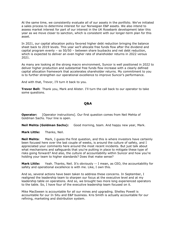At the same time, we consistently evaluate all of our assets in the portfolio. We've initiated a sales process to determine interest for our Norwegian E&P assets. We also intend to assess market interest for part of our interest in the UK Rosebank development later this year as we move closer to sanction, which is consistent with our longer-term plan for this asset.

In 2021, our capital allocation policy favored higher debt reduction bringing the balance sheet back to 2019 levels. This year we'll allocate free funds flow after the dividend and capital program evenly – so 50/50 – between share buybacks and net debt reduction, which is expected to deliver an even higher rate of shareholder returns in 2022 versus 2021.

As many are looking at the strong macro environment, Suncor is well positioned in 2022 to deliver higher production and substantial free funds flow increase with a clearly defined capital allocation framework that accelerates shareholder returns. My commitment to you is to further strengthen our operational excellence to improve Suncor's performance.

And with that, Trevor, I'll turn it back to you.

**Trevor Bell:** Thank you, Mark and Alister. I'll turn the call back to our operator to take some questions.

#### **Q&A**

**Operator:** [Operator instructions]. Our first question comes from Neil Mehta of Goldman Sachs. Your line is open.

**Neil Mehta (Goldman Sachs):** Good morning, team. And happy new year, Mark.

**Mark Little:** Thanks, Neil.

**Neil Mehta**: Mark, I quess the first question, and this is where investors have certainly been focused here over the last couple of weeks, is around the culture of safety, and I appreciated your comments here around the most recent incidents. But just talk about what mechanisms and safeguards that you're putting in place to mitigate these type of risks going forward? And also, the culture of accountability within Suncor and how you're holding your team to higher standards? Does that make sense?

**Mark Little:** Yeah. Thanks, Neil. It's obviously -- I mean, as CEO, the accountability for safety and operational excellence is with me. Like, I own this.

And so, several actions have been taken to address these concerns. In September, I realigned the leadership team to sharpen our focus at the executive level and at my leadership table on operations. And so, we brought two more long experienced operators to the table. So, I have four of the executive leadership team focused on it.

Mike MacSween is accountable for all our mines and upgrading. Shelley Powell is accountable for our In Situ and E&P business. Kris Smith is actually accountable for our refining, marketing and distribution system.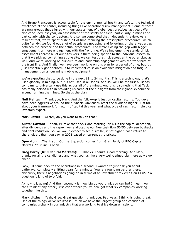And Bruno Francoeur, is accountable for the environmental health and safety, the technical excellence at the center, including things like operational risk management. Some of these are new groups that aligned with our assessment of global best practices last year. We also concluded last year, an assessment of the safety and field, particularly in mines and particularly with the contractors. And so, we completed that independent review. As a result of that, we've spent quite a bit of time reducing the prescriptive procedures, which quite frankly, we found out a lot of people are not using and following, or there was a gap between the practice and the actual procedures. And we're closing the gap with bigger engagement or more engagement with the front line. We're implementing standard risk assessments across all of our sites versus them being specific to the individual assets so that if we pick up something at one site, we can test that risk across all the other sites as well. And we're working on our culture and leadership engagement with the workforce at the front line. And finally, we have been working on this plan for a period of time, but it's just essentially got finalized, is to implement collision avoidance mitigation and fatigue management on all our mine mobile equipment.

We're expecting that to be done in the next 18 to 24 months. This is a technology that's used globally in mining, but it is not used in oil sands. And so, we'll be the first oil sands company to universally use this across all of the mines. And this is something that Teck has really helped with in providing us some of their insights from their global experience around running the mines. So that's the plan.

**Neil Mehta:** Thank you, Mark. And the follow-up is just on capital returns. You guys have been aggressive around the buyback. Obviously, reset the dividend higher. Just talk about your framework for return of capital this year and what type of cash return yield can investors expect.

**Mark Little:** Alister, do you want to talk to that?

**Alister Cowan:** Yeah, I'll take that one. Good morning, Neil. On the capital allocation, after dividends and the capex, we're allocating our free cash flow 50/50 between buybacks and debt reduction. So, we would expect to see a similar, if not higher, cash return to shareholders than you saw in 2021 based on current strip prices.

**Operator:** Thank you. Our next question comes from Greg Pardy of RBC Capital Markets. Your line is open.

**Greg Pardy (RBC Capital Markets):** Thanks. Thanks. Good morning. And Mark, thanks for all the candidness and what sounds like a very well-defined plan here as we go ahead.

Look, I'll come back to the operations in a second. I wanted to just ask you about pathways, completely shifting gears for a minute. You're a founding partner there, obviously, there's negotiations going on in terms of an investment tax credit on CCUS. So, question is kind of two-fold.

A) how is it going? And then secondly is, how big do you think you can be? I mean, we can't think of any other jurisdiction where you've now got what six companies working together like this.

**Mark Little:** Yeah, Greg. Great question, thank you. Pathways, I think, is going great. One of the things we've realized is I think we have the largest group and coalition of companies globally in our industry that are working to drive down emissions.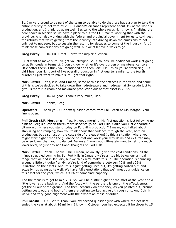So, I'm very proud to be part of the team to be able to do that. We have a plan to take the entire industry to net zero by 2050. Canada's oil sands represent about 3% of the world's production, and I think it's going well. Basically, the whole focus right now is finalizing the poor space in Alberta so we have a place to put the CO2. We're working that with the province. And, also working with the federal and provincial government for us to co-invest the returns that we're getting from the industry into driving down the emissions to not only get to net zero, but to sustain the returns for decades to come of the industry. And I think those conversations are going well, but we still have a ways to go.

**Greg Pardy:** OK. OK. Great. Here's the nitpick question.

I just want to make sure I've got you straight. So, it sounds like additional work just going on at Syncrude in terms of, I don't know whether it's overburden or maintenance, so a little softer there, I think you mentioned and then Fort Hills I think you're stabilizing. But did I hear you right sort of like overall production in first quarter similar to the fourth quarter? I just want to make sure I got that right.

**Mark Little:** Yes, it is. And I mean, some of this is the softness in the year, and some of this is we've decided to take down the hydrotreaters and hydrogen at Syncrude just to give us more run room and maximize production out of that asset in 2022.

**Greg Pardy:** OK. All good. Thanks very much, Mark.

**Mark Little:** Thanks, Greg.

**Operator:** Thank you. Our next question comes from Phil Gresh of J.P. Morgan. Your line is open.

**Phil Gresh (J.P. Morgan):** Yes. Hi, good morning. My first question is just following up a bit on Greg's question there, more specifically, on Fort Hills. Could you just elaborate a bit more on where you stand today on Fort Hills production? I mean, you talked about stabilizing and ramping, how you think about that cadence through the year, both on production, but also just on the cost side of the equation? Is this a situation where you might start higher than the guidance on cost and work your way down and exit rate may be even lower than your guidance? Because, I know you ultimately want to get to a much lower level, so just any additional thoughts on Fort Hills.

**Mark Little:** Yeah. Thanks, Phil. I mean, obviously, given the cold conditions, all the mines struggled coming in. So, Fort Hills in January we're a little bit below our annual range that we had in January, but we think we'll make this up. The operation is bouncing around a little bit quite frankly. We're kind of somewhere between 70% and 106% utilization on the assets. And, this is just getting lined out, it's getting sorted out, and actually, it's going quite well. We have full expectations that we'll meet our guidance on this asset for the year, which is 90% of nameplate capacity.

And the focus is to get to mid-20s. So, we'll be a little higher at the start of the year and a little lower at the back end. And the focus with the partners is one on the effectiveness, get the oil out of the ground. And then, secondly on efficiency, as you pointed out, around getting costs out, and both of them are getting worked actively through this. And I think we've had very good alignment with the owners on these priorities.

**Phil Gresh:** OK. Got it. Thank you. My second question just with where the net debt ended the year at about 16 million. I know in October, you had expected it be closer to 15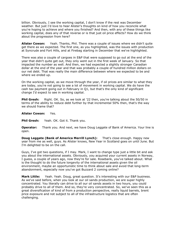billion. Obviously, I see the working capital, I don't know if the rest was December weather. But just I'd love to hear Alister's thoughts on kind of how you reconcile what you're hoping to achieve and where you finished? And then, with any of these things like working capital, does any of that reverse or is that just oil price effects? How do we think about the progression from here?

**Alister Cowan:** Yeah. Thanks, Phil. There was a couple of issues where we didn't quite get there as we expected. The first one, as you highlighted, was the issues with production at Syncrude and Fort Hills, and at Firebag starting in December that we've highlighted.

There was also a couple of cargoes in E&P that were supposed to go out at the end of the year that didn't quite get out, they only went out in the first week of January. So that impacted the number as well. And then, we had expected a slightly stronger Canadian dollar at the end of the year and that was probably a couple of hundred million dollars on our net debt. That was really the main difference between where we expected to be and where we ended up.

On the working capital, as we move through the year, if oil prices are similar to what they are today, you're not going to see a lot of movement in working capital. We do have the cash tax payment going out in February in Q1, but that's the only kind of significant change I'd expect to see in working capital.

**Phil Gresh:** Right. OK. So, as we look at '22 then, you're talking about the 50/50 in terms of the ability to reduce debt further by that incremental 50% then, that's the way we should frame that?

**Alister Cowan:** Yes.

**Phil Gresh:** Yeah. OK. Got it. Thank you.

**Operator:** Thank you. And next, we have Doug Leggate of Bank of America. Your line is open.

**Doug Leggate (Bank of America Merrill Lynch):** That's close enough. Happy new year from me as well, guys. As Alister knows, New Year in Scotland goes on until June. But I'm delighted to be on the call.

Guys, I've got two questions, if I may. Mark, I want to change type just a little bit and ask you about the international assets. Obviously, you acquired your current assets in Norway, I guess, a couple of years ago, now they're for sale. Rosebank, you've talked about. What is the thought to do the future longevity of the international assets given the oil environment, maybe an opportunistic time to think about sale and avoid that long-term abandonment, especially now you've got Buzzard 2 coming online?

**Mark Little:** Yeah. Yeah. Doug, great question. It's interesting with our E&P business. As we've said before, when you look at our oil sands production, we are super highly concentrated. You literally can drive to all our oil sands assets in two hours, you could probably drive to all of them. And so, they're very concentrated. So, we've seen this as a great diversification of kind of from a production perspective, really liquid barrels, brent price exposure and not subject to all of the infrastructure logistics that are often challenging.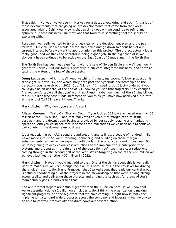That said, in Norway, we've been in Norway for a decade, exploring and such. And a lot of these developments that are going on are developments that came from that work associated with it. I think our view is that as time goes on, we continue to refine and optimize our base business. Our view was that Norway is something that we should be exploring with.

Rosebank, we really wanted to try and get clear on the development plan and the path forward. Our view was we would always step down and go down to about half of our current interest before we went to appropriation on this project. The project actually looks really good, and we think the operator is doing a good job. In the big scope of it, we obviously have continued to be active on the East Coast of Canada and in the North Sea.

The North Sea has been less significant with the sale of Golden Eagle and we'll see how it goes with Norway. But our focus is primarily in our core integrated business, and so we're testing the waters on a few of these assets.

**Doug Leggate:** Alright. We'll keep watching. I guess, my second follow-up question is slide eight is, obviously, the whole story here post the Syncrude operatorship and the trajectory you have through 2025. I don't know if I missed it, but I just wondered if you could give us an update. At the end of '21, how do you see that trajectory? Any changes? Are you comfortable still that you're on track? And maybe how much of the \$2 plus billion, the 2.15 billion free cash funds increment do you think you have now achieved a run rate at the end of '21? I'll leave it there. Thanks.

**Mark Little:** Why don't you start, Alister?

**Alister Cowan:** Yeah, OK. Thanks, Doug. If you look at 2021, we achieved roughly 465 million of the 2.15 billion -- and that really was driven out of margin capture in the upstream and the downstream business provided by our supply, trading and marketing operation. And you could see that in some of the realizations we've been able to achieve, particularly, in the downstream business.

It's a reduction in our ARO spend around treating and tailings, a couple of hundred million. As we move into 2022, we're focusing, enhancing and building on those margin enhancements, as well as we expand, particularly in the product streaming business. But we're beginning to achieve our cost reductions as we implement our enterprise-wide systems and processes in the first half of the year. So, you'll see those cost reductions coming through in the second half of the year. We're targeting on top of the 465 million we achieved last year, another 400 million in 2022.

**Mark Little:** Maybe I would just add to that. One of the things about this is we really want to make sure we keep a huge focus on this because this is the key lever for driving shareholder returns. So, Bruno Francoeur that I talked about that leads our central group is actually coordinating all of the projects in the stewardship so that we're driving strong accountability and delivering those projects and driving the cash out for them. Alister's team actually goes in and verifies that.

And our internal targets are actually greater than the \$2 billion because we know that we've essentially done \$2 billion on a risk basis. So, I think the organization is making significant progress. And the big event that we have coming up right now is really the implementing standard wide processes across the company and leveraging technology to be able to improve productivity and drive down our cost structure.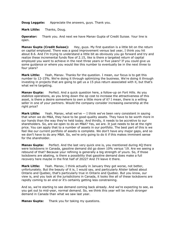**Doug Leggate:** Appreciate the answers, guys. Thank you.

**Mark Little:** Thanks, Doug.

**Operator:** Thank you. And next we have Manav Gupta of Credit Suisse. Your line is open.

**Manav Gupta (Credit Suisse):** Hey, guys. My first question is a little bit on the return on capital employed. There was a good improvement versus last year, I think you hit about 8.6. And I'm trying to understand a little bit as obviously you go forward and try and realize these incremental funds flow of 2.15, like is there a targeted return of capital employed you want to achieve in the next three years or five years? If you could give us some guidance or where you would like this number to eventually be in the next three to four years?

**Mark Little:** Yeah, Manav. Thanks for the question. I mean, our focus is to get this number to 12-15%. We're doing it through optimizing the business. We're doing it through investing in projects that are going to get us a 15 plus return associated with it, but that's what we're targeting.

**Manav Gupta:** Perfect. And a quick question here, a follow-up on Fort Hills. As you stabilize operations, as you bring down the op cost to increase the attractiveness of this asset, is there a desire somewhere to own a little more of it? I mean, there is a willing seller in one of your partners. Would the company consider increasing ownership at the right price?

**Mark Little:** Yeah. Manav, what we've -- I think we've been very consistent in saying that when we do M&A, they have to be good-quality assets. They have to be worth more in our hands than the way they're held today. And thirdly, it needs to be accretive to our shareholders. So, are we open to do an M&A? Yes, we are. It just needs to be at the right price. You can apply that to a number of assets in our portfolio. The best part of this is we feel like our current portfolio of assets is complete. We don't have any major gaps, and so we don't have to do any M&A. So, we're only going to do it if this makes imminent sense for the shareholder.

**Manav Gupta:** Perfect. And the last very quick one is, you mentioned during 4Q there were lockdowns in Canada, gasoline demand did go down 10% versus '19. Are we seeing a rebound of that? Because your refining is generally a big strength of yours. So, if those lockdowns are abating, is there a possibility that gasoline demand does make a full recovery here maybe in the first half of 2022? And I'll leave it there.

**Mark Little:** Yeah. Manav, I think actually in January they got worse, not better, unfortunately. But the beauty of it is, I would say, and particularly Alister talked about Ontario and Quebec, that's particularly true in Ontario and Quebec. But you know, our view is, and you look at the jurisdictions in Canada, it looks like all of these lockdowns are rapidly coming to an end or it's certainly getting less constraining.

And so, we're starting to see demand coming back already. And we're expecting to see, as you get out to mid-year, normal demand. So, we think this year will be much stronger demand in Canada than what we saw last year.

**Manav Gupta:** Thank you for taking my questions.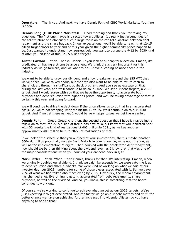**Operator:** Thank you. And next, we have Dennis Fong of CIBC World Markets. Your line is open.

**Dennis Fong (CIBC World Markets):** Good morning and thank you for taking my questions. The first one maybe is directed toward Alister. It's really just around idea of capital structure and obviously such a large focus on the capital allocation between debt repayment and the share buyback. In our expectations, you'll be able to reach that 12-15 billion target closer to year end of this year given the higher commodity prices happen to be. Just wanted to understand how aggressively you want to pursue the 9-12 by 2030 kind of after you hit kind of this 12-15 billion target?

**Alister Cowan:** Yeah. Thanks, Dennis. If you look at our capital allocation, I mean, it's predicated on having a strong balance sheet. We think that's very important for this industry as we go forward, and we want to be -- have a leading balance sheet in the industry.

We want to be able to grow our dividend and a low breakeven around the \$35 WTI that we've priced, we've talked about, but then we also want to be able to return cash to shareholders through a significant buyback program. And you see us execute on that during the last year, and we'll continue to do so in 2022. We set our debt targets, a 2025 target. And I would agree with you that we have the opportunity to accelerate both buybacks and debt reduction with higher oil prices, and we'll be taking advantage of that in certainly this year and going forward.

We will continue to drive the debt down if the price allows us to do that in an accelerated basis. So, we're not stopping when we hit the 12 to 15. We'll continue on to our 2030 target. And if we get there earlier, I would be very happy to see we get there earlier.

**Dennis Fong:** Great. Great. And then, the second question that I have is maybe just a follow-on to that, the 2.15 billion of free funds flow rollout. I know that you indicated back with Q3 results the kind of realizations of 465 million in 2021, as well as another approximately 400 million here in 2022, of realizations of that.

If we look at the schedule that you outlined at your investor day, there's maybe another 500-odd million potentially namely from Forty Mile coming online, mine optimization, as well as the implementation of digital. That, coupled with the accelerated debt repayment, how should we be then thinking about the dividend level, as I know that that was one of the major considerations when you doubled your dividend back in Q3?

**Mark Little:** Yeah. When -- and Dennis, thanks for that. It's interesting. I mean, when we originally doubled our dividend, I think we said like essentially, we were catching it up to debt reduction and share buybacks. We were kind of working on what we said at our investor day, our 2023 numbers for some of those pieces associated with it. So, we gave 75% of what we had talked about achieving by 2025. Obviously, the macro environment has changed a lot. Everything is getting accelerated from debt repayments, share buybacks, as well as the dividend. And so, you know, this is something that the board continues to work out.

Of course, we're working to continue to achieve what we set as our 2025 targets. We're just expecting it to get accelerated. And the faster we go on our debt metrics and stuff, the better chance we have on achieving further increases in dividends. Alister, do you have anything to add to that?